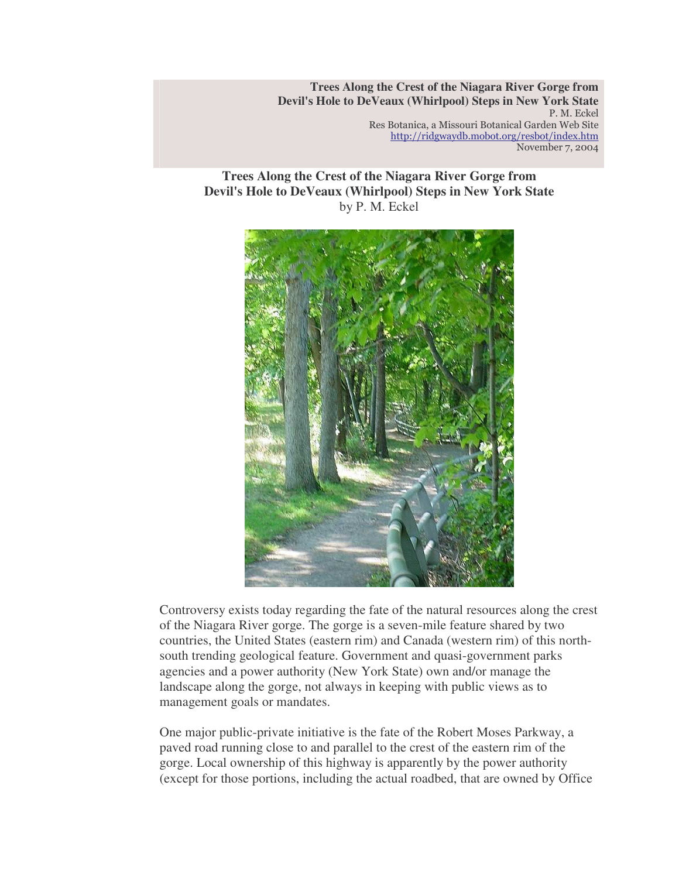**Trees Along the Crest of the Niagara River Gorge from Devil's Hole to DeVeaux (Whirlpool) Steps in New York State** P. M. Eckel Res Botanica, a Missouri Botanical Garden Web Site <u>http://ridgwaydb.mobot.org/resbot/index.htm</u> November 7, 2004

**Trees Along the Crest of the Niagara River Gorge from Devil's Hole to DeVeaux (Whirlpool) Steps in New York State** by P. M. Eckel



Controversy exists today regarding the fate of the natural resources along the crest of the Niagara River gorge. The gorge is a seven-mile feature shared by two countries, the United States (eastern rim) and Canada (western rim) of this northsouth trending geological feature. Government and quasi-government parks agencies and a power authority (New York State) own and/or manage the landscape along the gorge, not always in keeping with public views as to management goals or mandates.

One major public-private initiative is the fate of the Robert Moses Parkway, a paved road running close to and parallel to the crest of the eastern rim of the gorge. Local ownership of this highway is apparently by the power authority (except for those portions, including the actual roadbed, that are owned by Office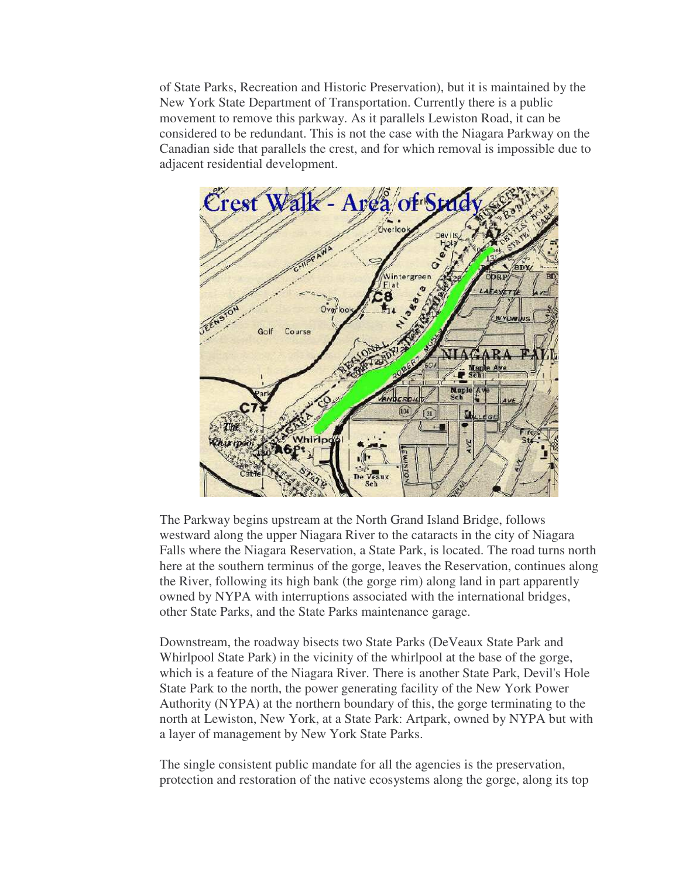of State Parks, Recreation and Historic Preservation), but it is maintained by the New York State Department of Transportation. Currently there is a public movement to remove this parkway. As it parallels Lewiston Road, it can be considered to be redundant. This is not the case with the Niagara Parkway on the Canadian side that parallels the crest, and for which removal is impossible due to adjacent residential development.



The Parkway begins upstream at the North Grand Island Bridge, follows westward along the upper Niagara River to the cataracts in the city of Niagara Falls where the Niagara Reservation, a State Park, is located. The road turns north here at the southern terminus of the gorge, leaves the Reservation, continues along the River, following its high bank (the gorge rim) along land in part apparently owned by NYPA with interruptions associated with the international bridges, other State Parks, and the State Parks maintenance garage.

Downstream, the roadway bisects two State Parks (DeVeaux State Park and Whirlpool State Park) in the vicinity of the whirlpool at the base of the gorge, which is a feature of the Niagara River. There is another State Park, Devil's Hole State Park to the north, the power generating facility of the New York Power Authority (NYPA) at the northern boundary of this, the gorge terminating to the north at Lewiston, New York, at a State Park: Artpark, owned by NYPA but with a layer of management by New York State Parks.

The single consistent public mandate for all the agencies is the preservation, protection and restoration of the native ecosystems along the gorge, along its top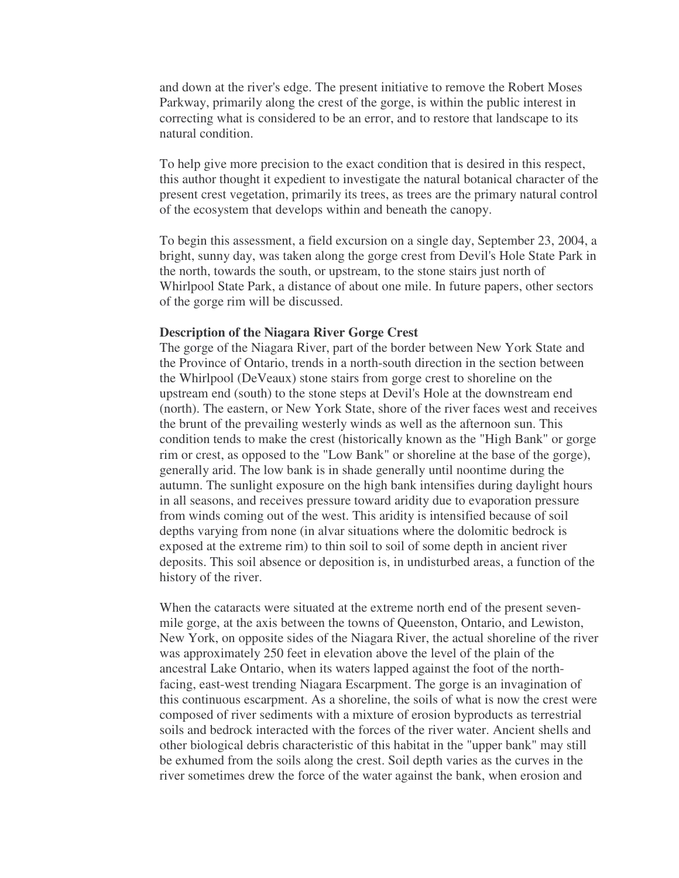and down at the river's edge. The present initiative to remove the Robert Moses Parkway, primarily along the crest of the gorge, is within the public interest in correcting what is considered to be an error, and to restore that landscape to its natural condition.

To help give more precision to the exact condition that is desired in this respect, this author thought it expedient to investigate the natural botanical character of the present crest vegetation, primarily its trees, as trees are the primary natural control of the ecosystem that develops within and beneath the canopy.

To begin this assessment, a field excursion on a single day, September 23, 2004, a bright, sunny day, was taken along the gorge crest from Devil's Hole State Park in the north, towards the south, or upstream, to the stone stairs just north of Whirlpool State Park, a distance of about one mile. In future papers, other sectors of the gorge rim will be discussed.

## **Description of the Niagara River Gorge Crest**

The gorge of the Niagara River, part of the border between New York State and the Province of Ontario, trends in a north-south direction in the section between the Whirlpool (DeVeaux) stone stairs from gorge crest to shoreline on the upstream end (south) to the stone steps at Devil's Hole at the downstream end (north). The eastern, or New York State, shore of the river faces west and receives the brunt of the prevailing westerly winds as well as the afternoon sun. This condition tends to make the crest (historically known as the "High Bank" or gorge rim or crest, as opposed to the "Low Bank" or shoreline at the base of the gorge), generally arid. The low bank is in shade generally until noontime during the autumn. The sunlight exposure on the high bank intensifies during daylight hours in all seasons, and receives pressure toward aridity due to evaporation pressure from winds coming out of the west. This aridity is intensified because of soil depths varying from none (in alvar situations where the dolomitic bedrock is exposed at the extreme rim) to thin soil to soil of some depth in ancient river deposits. This soil absence or deposition is, in undisturbed areas, a function of the history of the river.

When the cataracts were situated at the extreme north end of the present sevenmile gorge, at the axis between the towns of Queenston, Ontario, and Lewiston, New York, on opposite sides of the Niagara River, the actual shoreline of the river was approximately 250 feet in elevation above the level of the plain of the ancestral Lake Ontario, when its waters lapped against the foot of the northfacing, east-west trending Niagara Escarpment. The gorge is an invagination of this continuous escarpment. As a shoreline, the soils of what is now the crest were composed of river sediments with a mixture of erosion byproducts as terrestrial soils and bedrock interacted with the forces of the river water. Ancient shells and other biological debris characteristic of this habitat in the "upper bank" may still be exhumed from the soils along the crest. Soil depth varies as the curves in the river sometimes drew the force of the water against the bank, when erosion and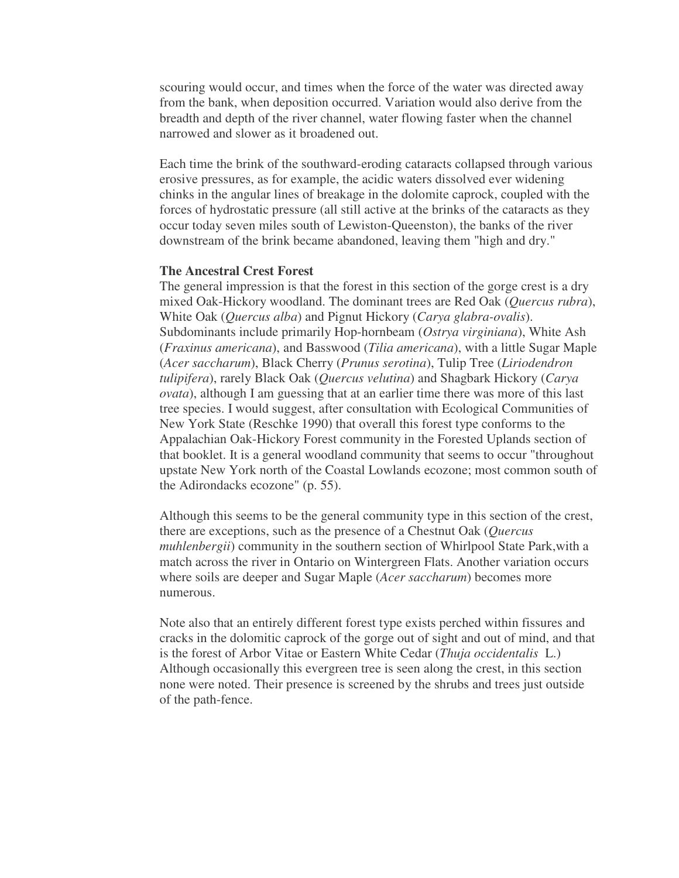scouring would occur, and times when the force of the water was directed away from the bank, when deposition occurred. Variation would also derive from the breadth and depth of the river channel, water flowing faster when the channel narrowed and slower as it broadened out.

Each time the brink of the southward-eroding cataracts collapsed through various erosive pressures, as for example, the acidic waters dissolved ever widening chinks in the angular lines of breakage in the dolomite caprock, coupled with the forces of hydrostatic pressure (all still active at the brinks of the cataracts as they occur today seven miles south of Lewiston-Queenston), the banks of the river downstream of the brink became abandoned, leaving them "high and dry."

## **The Ancestral Crest Forest**

The general impression is that the forest in this section of the gorge crest is a dry mixed Oak-Hickory woodland. The dominant trees are Red Oak (*Quercus rubra*), White Oak (*Quercus alba*) and Pignut Hickory (*Carya glabra-ovalis*). Subdominants include primarily Hop-hornbeam (*Ostrya virginiana*), White Ash (*Fraxinus americana*), and Basswood (*Tilia americana*), with a little Sugar Maple (*Acer saccharum*), Black Cherry (*Prunus serotina*), Tulip Tree (*Liriodendron tulipifera*), rarely Black Oak (*Quercus velutina*) and Shagbark Hickory (*Carya ovata*), although I am guessing that at an earlier time there was more of this last tree species. I would suggest, after consultation with Ecological Communities of New York State (Reschke 1990) that overall this forest type conforms to the Appalachian Oak-Hickory Forest community in the Forested Uplands section of that booklet. It is a general woodland community that seems to occur "throughout upstate New York north of the Coastal Lowlands ecozone; most common south of the Adirondacks ecozone" (p. 55).

Although this seems to be the general community type in this section of the crest, there are exceptions, such as the presence of a Chestnut Oak (*Quercus muhlenbergii*) community in the southern section of Whirlpool State Park,with a match across the river in Ontario on Wintergreen Flats. Another variation occurs where soils are deeper and Sugar Maple (*Acer saccharum*) becomes more numerous.

Note also that an entirely different forest type exists perched within fissures and cracks in the dolomitic caprock of the gorge out of sight and out of mind, and that is the forest of Arbor Vitae or Eastern White Cedar (*Thuja occidentalis* L.) Although occasionally this evergreen tree is seen along the crest, in this section none were noted. Their presence is screened by the shrubs and trees just outside of the path-fence.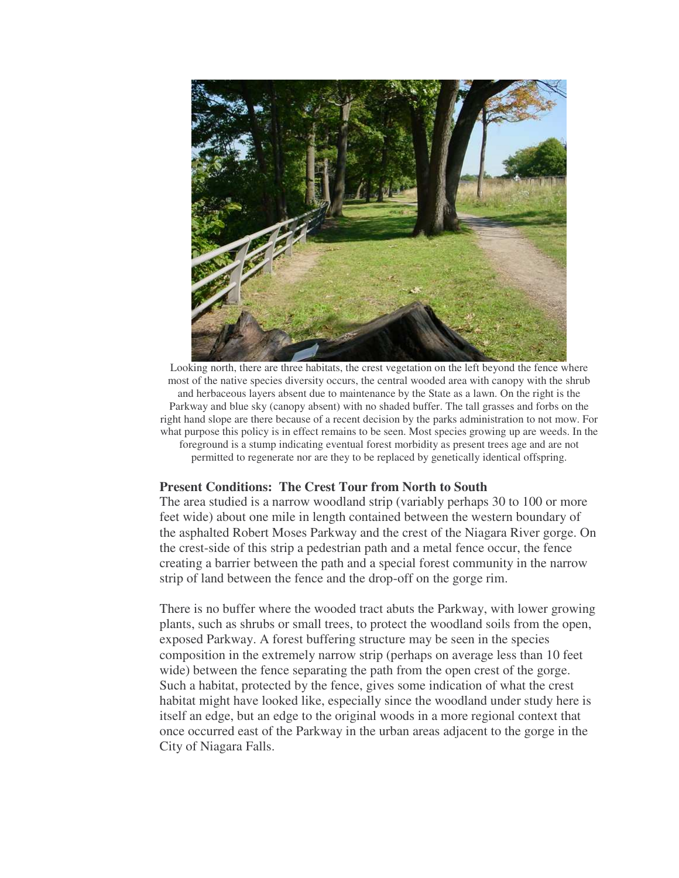

Looking north, there are three habitats, the crest vegetation on the left beyond the fence where most of the native species diversity occurs, the central wooded area with canopy with the shrub and herbaceous layers absent due to maintenance by the State as a lawn. On the right is the Parkway and blue sky (canopy absent) with no shaded buffer. The tall grasses and forbs on the right hand slope are there because of a recent decision by the parks administration to not mow. For what purpose this policy is in effect remains to be seen. Most species growing up are weeds. In the foreground is a stump indicating eventual forest morbidity as present trees age and are not permitted to regenerate nor are they to be replaced by genetically identical offspring.

## **Present Conditions: The Crest Tour from North to South**

The area studied is a narrow woodland strip (variably perhaps 30 to 100 or more feet wide) about one mile in length contained between the western boundary of the asphalted Robert Moses Parkway and the crest of the Niagara River gorge. On the crest-side of this strip a pedestrian path and a metal fence occur, the fence creating a barrier between the path and a special forest community in the narrow strip of land between the fence and the drop-off on the gorge rim.

There is no buffer where the wooded tract abuts the Parkway, with lower growing plants, such as shrubs or small trees, to protect the woodland soils from the open, exposed Parkway. A forest buffering structure may be seen in the species composition in the extremely narrow strip (perhaps on average less than 10 feet wide) between the fence separating the path from the open crest of the gorge. Such a habitat, protected by the fence, gives some indication of what the crest habitat might have looked like, especially since the woodland under study here is itself an edge, but an edge to the original woods in a more regional context that once occurred east of the Parkway in the urban areas adjacent to the gorge in the City of Niagara Falls.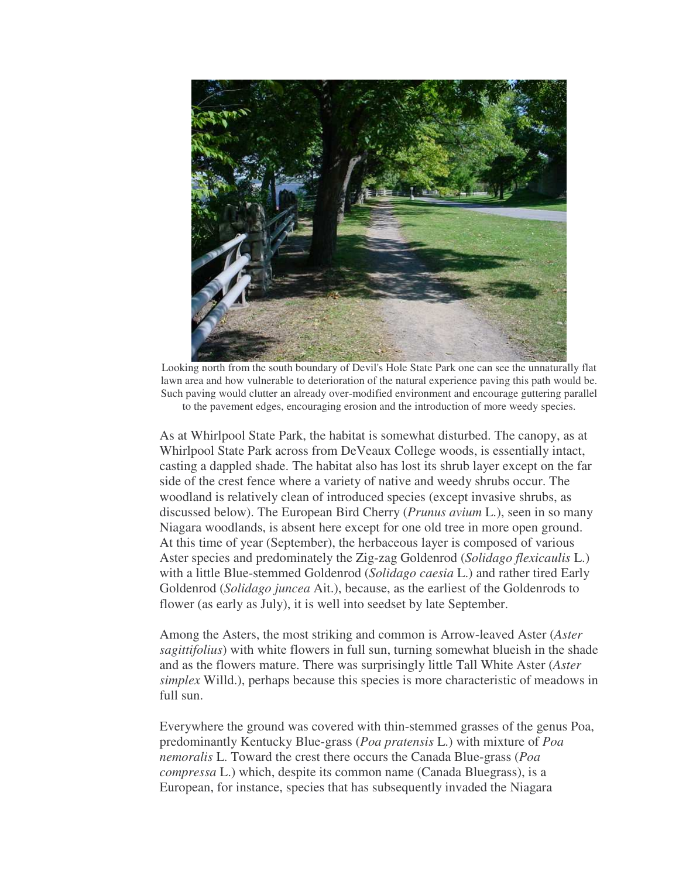

Looking north from the south boundary of Devil's Hole State Park one can see the unnaturally flat lawn area and how vulnerable to deterioration of the natural experience paving this path would be. Such paving would clutter an already over-modified environment and encourage guttering parallel to the pavement edges, encouraging erosion and the introduction of more weedy species.

As at Whirlpool State Park, the habitat is somewhat disturbed. The canopy, as at Whirlpool State Park across from DeVeaux College woods, is essentially intact, casting a dappled shade. The habitat also has lost its shrub layer except on the far side of the crest fence where a variety of native and weedy shrubs occur. The woodland is relatively clean of introduced species (except invasive shrubs, as discussed below). The European Bird Cherry (*Prunus avium* L.), seen in so many Niagara woodlands, is absent here except for one old tree in more open ground. At this time of year (September), the herbaceous layer is composed of various Aster species and predominately the Zig-zag Goldenrod (*Solidago flexicaulis* L.) with a little Blue-stemmed Goldenrod (*Solidago caesia* L.) and rather tired Early Goldenrod (*Solidago juncea* Ait.), because, as the earliest of the Goldenrods to flower (as early as July), it is well into seedset by late September.

Among the Asters, the most striking and common is Arrow-leaved Aster (*Aster sagittifolius*) with white flowers in full sun, turning somewhat blueish in the shade and as the flowers mature. There was surprisingly little Tall White Aster (*Aster simplex* Willd.), perhaps because this species is more characteristic of meadows in full sun.

Everywhere the ground was covered with thin-stemmed grasses of the genus Poa, predominantly Kentucky Blue-grass (*Poa pratensis* L.) with mixture of *Poa nemoralis* L. Toward the crest there occurs the Canada Blue-grass (*Poa compressa* L.) which, despite its common name (Canada Bluegrass), is a European, for instance, species that has subsequently invaded the Niagara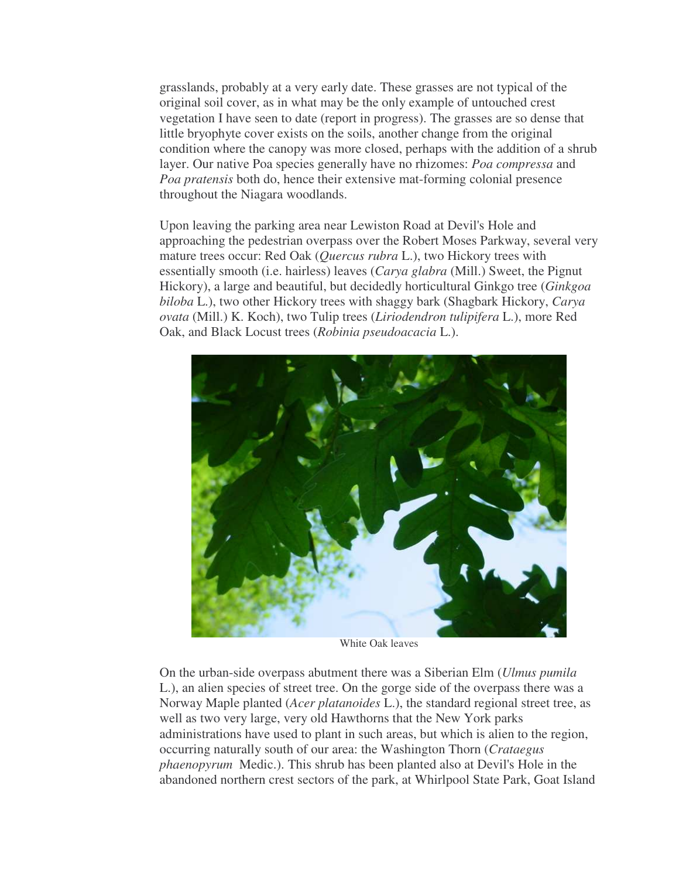grasslands, probably at a very early date. These grasses are not typical of the original soil cover, as in what may be the only example of untouched crest vegetation I have seen to date (report in progress). The grasses are so dense that little bryophyte cover exists on the soils, another change from the original condition where the canopy was more closed, perhaps with the addition of a shrub layer. Our native Poa species generally have no rhizomes: *Poa compressa* and *Poa pratensis* both do, hence their extensive mat-forming colonial presence throughout the Niagara woodlands.

Upon leaving the parking area near Lewiston Road at Devil's Hole and approaching the pedestrian overpass over the Robert Moses Parkway, several very mature trees occur: Red Oak (*Quercus rubra* L.), two Hickory trees with essentially smooth (i.e. hairless) leaves (*Carya glabra* (Mill.) Sweet, the Pignut Hickory), a large and beautiful, but decidedly horticultural Ginkgo tree (*Ginkgoa biloba* L.), two other Hickory trees with shaggy bark (Shagbark Hickory, *Carya ovata* (Mill.) K. Koch), two Tulip trees (*Liriodendron tulipifera* L.), more Red Oak, and Black Locust trees (*Robinia pseudoacacia* L.).



White Oak leaves

On the urban-side overpass abutment there was a Siberian Elm (*Ulmus pumila* L.), an alien species of street tree. On the gorge side of the overpass there was a Norway Maple planted (*Acer platanoides* L.), the standard regional street tree, as well as two very large, very old Hawthorns that the New York parks administrations have used to plant in such areas, but which is alien to the region, occurring naturally south of our area: the Washington Thorn (*Crataegus phaenopyrum* Medic.). This shrub has been planted also at Devil's Hole in the abandoned northern crest sectors of the park, at Whirlpool State Park, Goat Island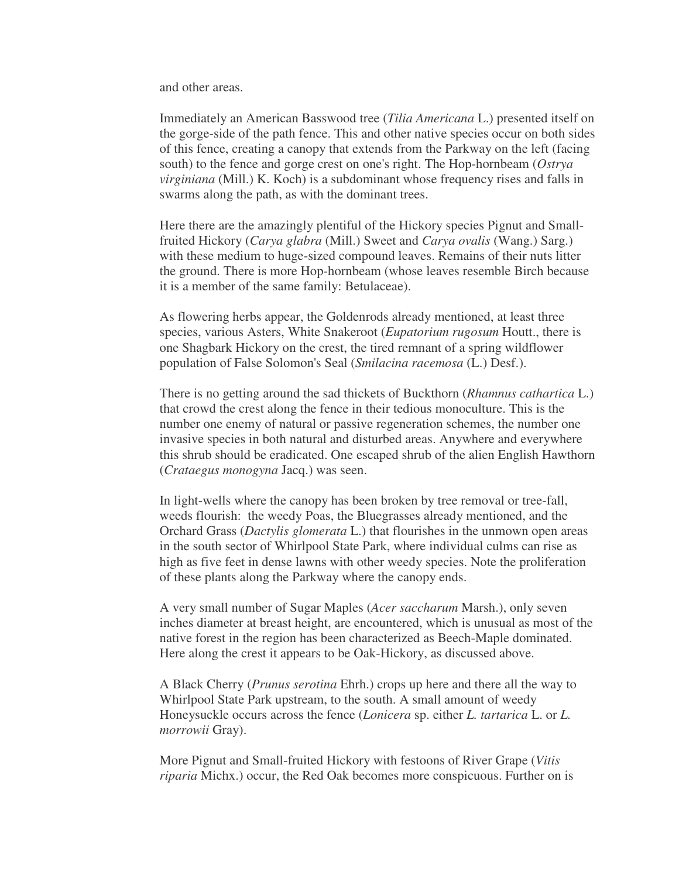and other areas.

Immediately an American Basswood tree (*Tilia Americana* L.) presented itself on the gorge-side of the path fence. This and other native species occur on both sides of this fence, creating a canopy that extends from the Parkway on the left (facing south) to the fence and gorge crest on one's right. The Hop-hornbeam (*Ostrya virginiana* (Mill.) K. Koch) is a subdominant whose frequency rises and falls in swarms along the path, as with the dominant trees.

Here there are the amazingly plentiful of the Hickory species Pignut and Smallfruited Hickory (*Carya glabra* (Mill.) Sweet and *Carya ovalis* (Wang.) Sarg.) with these medium to huge-sized compound leaves. Remains of their nuts litter the ground. There is more Hop-hornbeam (whose leaves resemble Birch because it is a member of the same family: Betulaceae).

As flowering herbs appear, the Goldenrods already mentioned, at least three species, various Asters, White Snakeroot (*Eupatorium rugosum* Houtt., there is one Shagbark Hickory on the crest, the tired remnant of a spring wildflower population of False Solomon's Seal (*Smilacina racemosa* (L.) Desf.).

There is no getting around the sad thickets of Buckthorn (*Rhamnus cathartica* L.) that crowd the crest along the fence in their tedious monoculture. This is the number one enemy of natural or passive regeneration schemes, the number one invasive species in both natural and disturbed areas. Anywhere and everywhere this shrub should be eradicated. One escaped shrub of the alien English Hawthorn (*Crataegus monogyna* Jacq.) was seen.

In light-wells where the canopy has been broken by tree removal or tree-fall, weeds flourish: the weedy Poas, the Bluegrasses already mentioned, and the Orchard Grass (*Dactylis glomerata* L.) that flourishes in the unmown open areas in the south sector of Whirlpool State Park, where individual culms can rise as high as five feet in dense lawns with other weedy species. Note the proliferation of these plants along the Parkway where the canopy ends.

A very small number of Sugar Maples (*Acer saccharum* Marsh.), only seven inches diameter at breast height, are encountered, which is unusual as most of the native forest in the region has been characterized as Beech-Maple dominated. Here along the crest it appears to be Oak-Hickory, as discussed above.

A Black Cherry (*Prunus serotina* Ehrh.) crops up here and there all the way to Whirlpool State Park upstream, to the south. A small amount of weedy Honeysuckle occurs across the fence (*Lonicera* sp. either *L. tartarica* L. or *L. morrowii* Gray).

More Pignut and Small-fruited Hickory with festoons of River Grape (*Vitis riparia* Michx.) occur, the Red Oak becomes more conspicuous. Further on is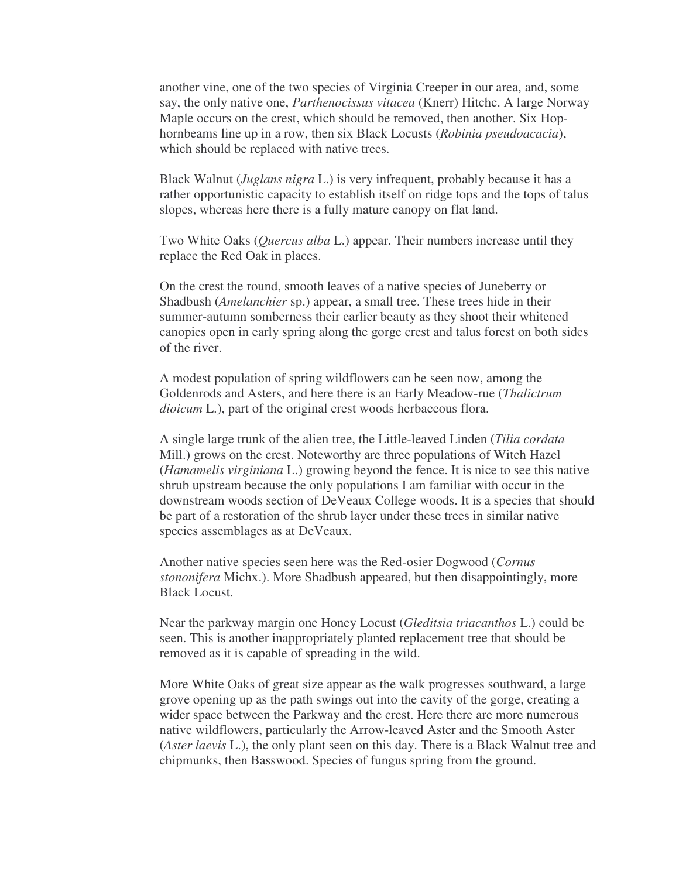another vine, one of the two species of Virginia Creeper in our area, and, some say, the only native one, *Parthenocissus vitacea* (Knerr) Hitchc. A large Norway Maple occurs on the crest, which should be removed, then another. Six Hophornbeams line up in a row, then six Black Locusts (*Robinia pseudoacacia*), which should be replaced with native trees.

Black Walnut (*Juglans nigra* L.) is very infrequent, probably because it has a rather opportunistic capacity to establish itself on ridge tops and the tops of talus slopes, whereas here there is a fully mature canopy on flat land.

Two White Oaks (*Quercus alba* L.) appear. Their numbers increase until they replace the Red Oak in places.

On the crest the round, smooth leaves of a native species of Juneberry or Shadbush (*Amelanchier* sp.) appear, a small tree. These trees hide in their summer-autumn somberness their earlier beauty as they shoot their whitened canopies open in early spring along the gorge crest and talus forest on both sides of the river.

A modest population of spring wildflowers can be seen now, among the Goldenrods and Asters, and here there is an Early Meadow-rue (*Thalictrum dioicum* L.), part of the original crest woods herbaceous flora.

A single large trunk of the alien tree, the Little-leaved Linden (*Tilia cordata* Mill.) grows on the crest. Noteworthy are three populations of Witch Hazel (*Hamamelis virginiana* L.) growing beyond the fence. It is nice to see this native shrub upstream because the only populations I am familiar with occur in the downstream woods section of DeVeaux College woods. It is a species that should be part of a restoration of the shrub layer under these trees in similar native species assemblages as at DeVeaux.

Another native species seen here was the Red-osier Dogwood (*Cornus stononifera* Michx.). More Shadbush appeared, but then disappointingly, more Black Locust.

Near the parkway margin one Honey Locust (*Gleditsia triacanthos* L.) could be seen. This is another inappropriately planted replacement tree that should be removed as it is capable of spreading in the wild.

More White Oaks of great size appear as the walk progresses southward, a large grove opening up as the path swings out into the cavity of the gorge, creating a wider space between the Parkway and the crest. Here there are more numerous native wildflowers, particularly the Arrow-leaved Aster and the Smooth Aster (*Aster laevis* L.), the only plant seen on this day. There is a Black Walnut tree and chipmunks, then Basswood. Species of fungus spring from the ground.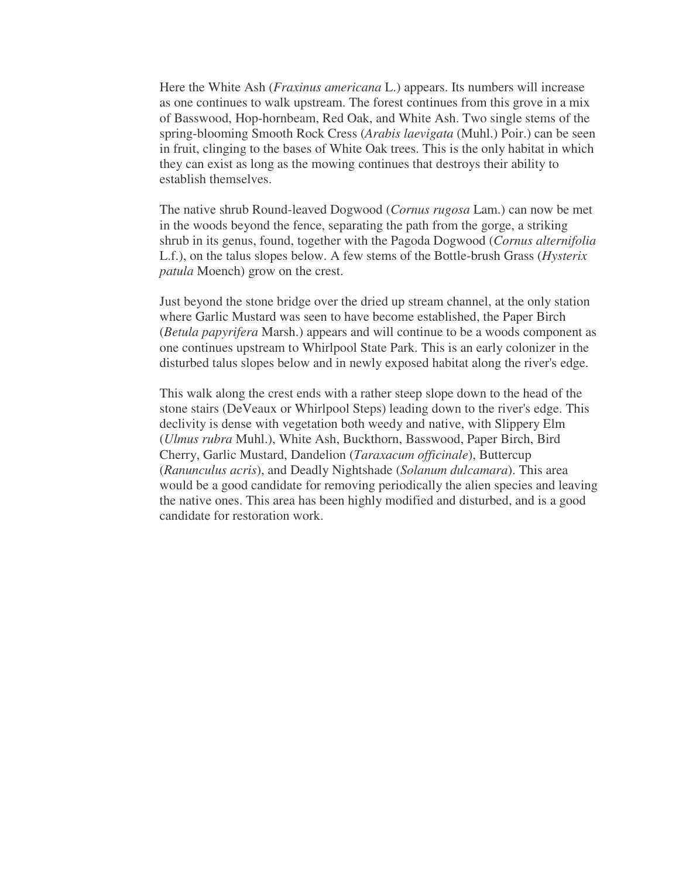Here the White Ash (*Fraxinus americana* L.) appears. Its numbers will increase as one continues to walk upstream. The forest continues from this grove in a mix of Basswood, Hop-hornbeam, Red Oak, and White Ash. Two single stems of the spring-blooming Smooth Rock Cress (*Arabis laevigata* (Muhl.) Poir.) can be seen in fruit, clinging to the bases of White Oak trees. This is the only habitat in which they can exist as long as the mowing continues that destroys their ability to establish themselves.

The native shrub Round-leaved Dogwood (*Cornus rugosa* Lam.) can now be met in the woods beyond the fence, separating the path from the gorge, a striking shrub in its genus, found, together with the Pagoda Dogwood (*Cornus alternifolia* L.f.), on the talus slopes below. A few stems of the Bottle-brush Grass (*Hysterix patula* Moench) grow on the crest.

Just beyond the stone bridge over the dried up stream channel, at the only station where Garlic Mustard was seen to have become established, the Paper Birch (*Betula papyrifera* Marsh.) appears and will continue to be a woods component as one continues upstream to Whirlpool State Park. This is an early colonizer in the disturbed talus slopes below and in newly exposed habitat along the river's edge.

This walk along the crest ends with a rather steep slope down to the head of the stone stairs (DeVeaux or Whirlpool Steps) leading down to the river's edge. This declivity is dense with vegetation both weedy and native, with Slippery Elm (*Ulmus rubra* Muhl.), White Ash, Buckthorn, Basswood, Paper Birch, Bird Cherry, Garlic Mustard, Dandelion (*Taraxacum officinale*), Buttercup (*Ranunculus acris*), and Deadly Nightshade (*Solanum dulcamara*). This area would be a good candidate for removing periodically the alien species and leaving the native ones. This area has been highly modified and disturbed, and is a good candidate for restoration work.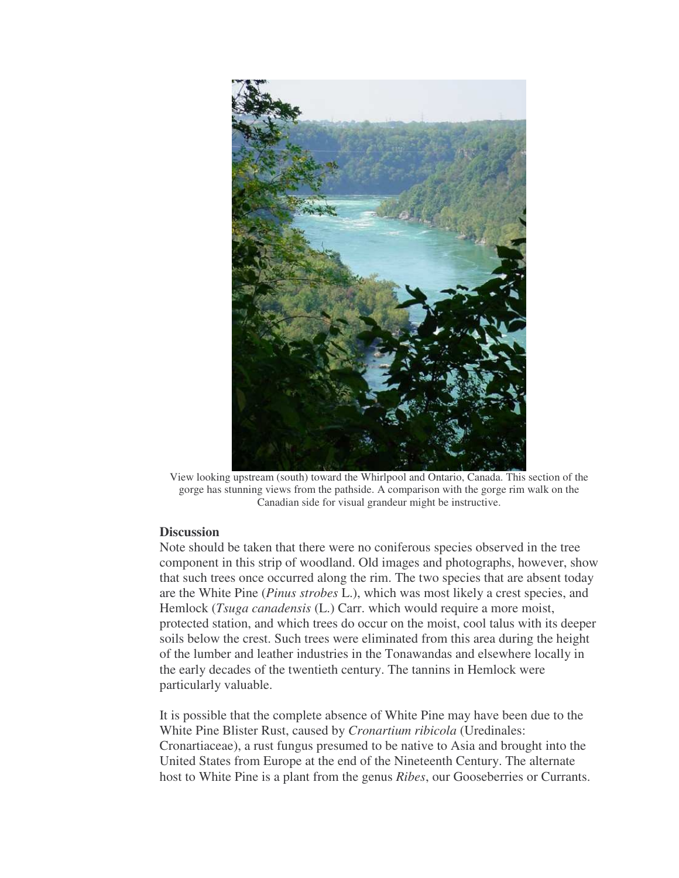

View looking upstream (south) toward the Whirlpool and Ontario, Canada. This section of the gorge has stunning views from the pathside. A comparison with the gorge rim walk on the Canadian side for visual grandeur might be instructive.

## **Discussion**

Note should be taken that there were no coniferous species observed in the tree component in this strip of woodland. Old images and photographs, however, show that such trees once occurred along the rim. The two species that are absent today are the White Pine (*Pinus strobes* L.), which was most likely a crest species, and Hemlock (*Tsuga canadensis* (L.) Carr. which would require a more moist, protected station, and which trees do occur on the moist, cool talus with its deeper soils below the crest. Such trees were eliminated from this area during the height of the lumber and leather industries in the Tonawandas and elsewhere locally in the early decades of the twentieth century. The tannins in Hemlock were particularly valuable.

It is possible that the complete absence of White Pine may have been due to the White Pine Blister Rust, caused by *Cronartium ribicola* (Uredinales: Cronartiaceae), a rust fungus presumed to be native to Asia and brought into the United States from Europe at the end of the Nineteenth Century. The alternate host to White Pine is a plant from the genus *Ribes*, our Gooseberries or Currants.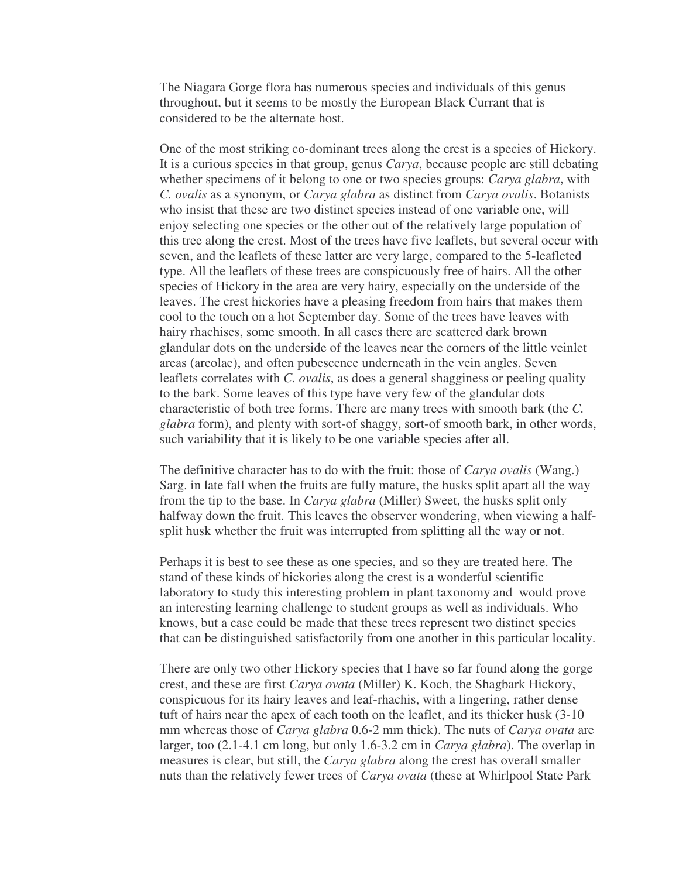The Niagara Gorge flora has numerous species and individuals of this genus throughout, but it seems to be mostly the European Black Currant that is considered to be the alternate host.

One of the most striking co-dominant trees along the crest is a species of Hickory. It is a curious species in that group, genus *Carya*, because people are still debating whether specimens of it belong to one or two species groups: *Carya glabra*, with *C. ovalis* as a synonym, or *Carya glabra* as distinct from *Carya ovalis*. Botanists who insist that these are two distinct species instead of one variable one, will enjoy selecting one species or the other out of the relatively large population of this tree along the crest. Most of the trees have five leaflets, but several occur with seven, and the leaflets of these latter are very large, compared to the 5-leafleted type. All the leaflets of these trees are conspicuously free of hairs. All the other species of Hickory in the area are very hairy, especially on the underside of the leaves. The crest hickories have a pleasing freedom from hairs that makes them cool to the touch on a hot September day. Some of the trees have leaves with hairy rhachises, some smooth. In all cases there are scattered dark brown glandular dots on the underside of the leaves near the corners of the little veinlet areas (areolae), and often pubescence underneath in the vein angles. Seven leaflets correlates with *C. ovalis*, as does a general shagginess or peeling quality to the bark. Some leaves of this type have very few of the glandular dots characteristic of both tree forms. There are many trees with smooth bark (the *C. glabra* form), and plenty with sort-of shaggy, sort-of smooth bark, in other words, such variability that it is likely to be one variable species after all.

The definitive character has to do with the fruit: those of *Carya ovalis* (Wang.) Sarg. in late fall when the fruits are fully mature, the husks split apart all the way from the tip to the base. In *Carya glabra* (Miller) Sweet, the husks split only halfway down the fruit. This leaves the observer wondering, when viewing a halfsplit husk whether the fruit was interrupted from splitting all the way or not.

Perhaps it is best to see these as one species, and so they are treated here. The stand of these kinds of hickories along the crest is a wonderful scientific laboratory to study this interesting problem in plant taxonomy and would prove an interesting learning challenge to student groups as well as individuals. Who knows, but a case could be made that these trees represent two distinct species that can be distinguished satisfactorily from one another in this particular locality.

There are only two other Hickory species that I have so far found along the gorge crest, and these are first *Carya ovata* (Miller) K. Koch, the Shagbark Hickory, conspicuous for its hairy leaves and leaf-rhachis, with a lingering, rather dense tuft of hairs near the apex of each tooth on the leaflet, and its thicker husk (3-10 mm whereas those of *Carya glabra* 0.6-2 mm thick). The nuts of *Carya ovata* are larger, too (2.1-4.1 cm long, but only 1.6-3.2 cm in *Carya glabra*). The overlap in measures is clear, but still, the *Carya glabra* along the crest has overall smaller nuts than the relatively fewer trees of *Carya ovata* (these at Whirlpool State Park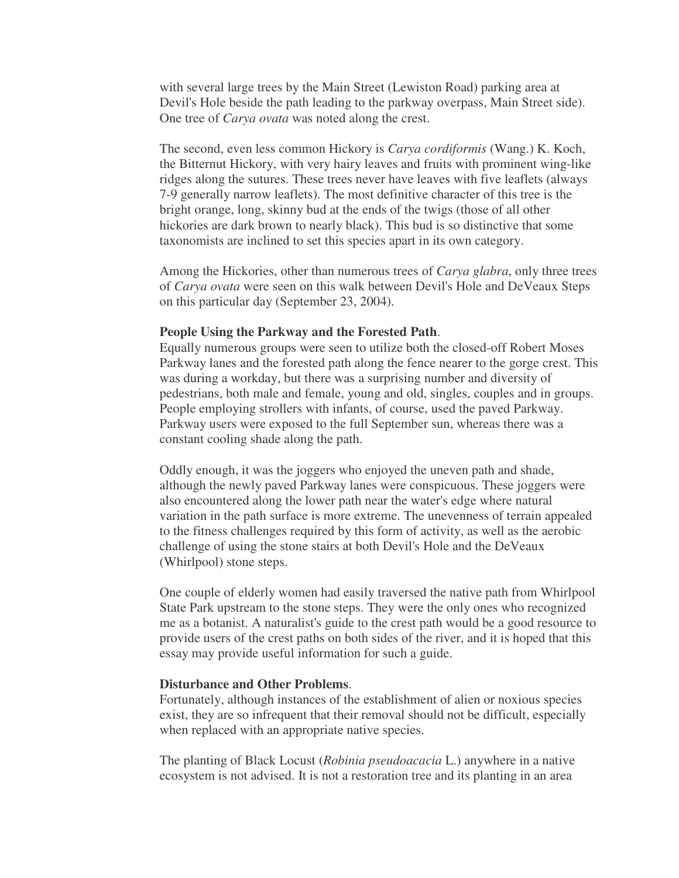with several large trees by the Main Street (Lewiston Road) parking area at Devil's Hole beside the path leading to the parkway overpass, Main Street side). One tree of *Carya ovata* was noted along the crest.

The second, even less common Hickory is *Carya cordiformis* (Wang.) K. Koch, the Bitternut Hickory, with very hairy leaves and fruits with prominent wing-like ridges along the sutures. These trees never have leaves with five leaflets (always 7-9 generally narrow leaflets). The most definitive character of this tree is the bright orange, long, skinny bud at the ends of the twigs (those of all other hickories are dark brown to nearly black). This bud is so distinctive that some taxonomists are inclined to set this species apart in its own category.

Among the Hickories, other than numerous trees of *Carya glabra*, only three trees of *Carya ovata* were seen on this walk between Devil's Hole and DeVeaux Steps on this particular day (September 23, 2004).

## **People Using the Parkway and the Forested Path**.

Equally numerous groups were seen to utilize both the closed-off Robert Moses Parkway lanes and the forested path along the fence nearer to the gorge crest. This was during a workday, but there was a surprising number and diversity of pedestrians, both male and female, young and old, singles, couples and in groups. People employing strollers with infants, of course, used the paved Parkway. Parkway users were exposed to the full September sun, whereas there was a constant cooling shade along the path.

Oddly enough, it was the joggers who enjoyed the uneven path and shade, although the newly paved Parkway lanes were conspicuous. These joggers were also encountered along the lower path near the water's edge where natural variation in the path surface is more extreme. The unevenness of terrain appealed to the fitness challenges required by this form of activity, as well as the aerobic challenge of using the stone stairs at both Devil's Hole and the DeVeaux (Whirlpool) stone steps.

One couple of elderly women had easily traversed the native path from Whirlpool State Park upstream to the stone steps. They were the only ones who recognized me as a botanist. A naturalist's guide to the crest path would be a good resource to provide users of the crest paths on both sides of the river, and it is hoped that this essay may provide useful information for such a guide.

## **Disturbance and Other Problems**.

Fortunately, although instances of the establishment of alien or noxious species exist, they are so infrequent that their removal should not be difficult, especially when replaced with an appropriate native species.

The planting of Black Locust (*Robinia pseudoacacia* L.) anywhere in a native ecosystem is not advised. It is not a restoration tree and its planting in an area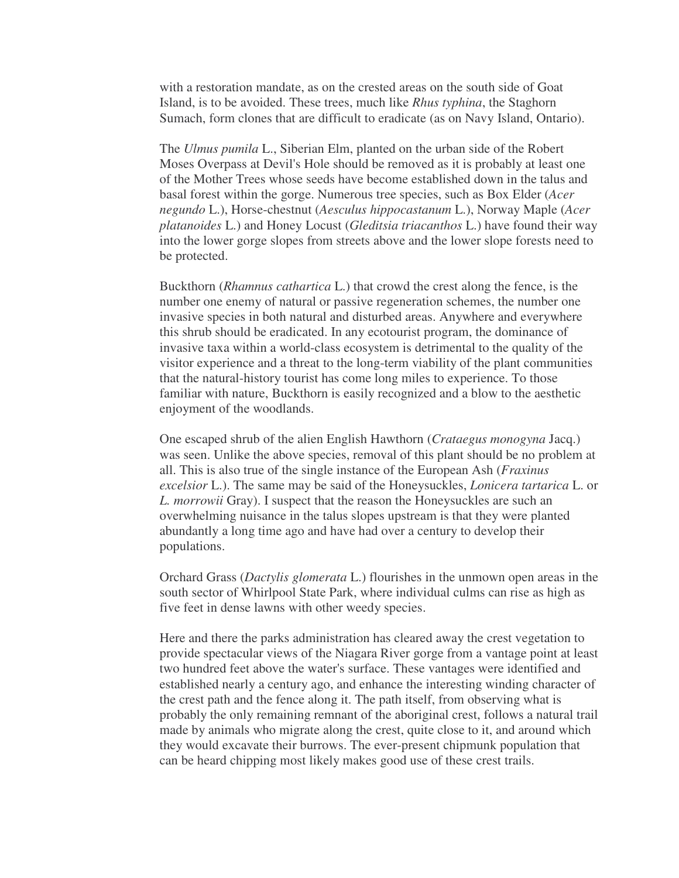with a restoration mandate, as on the crested areas on the south side of Goat Island, is to be avoided. These trees, much like *Rhus typhina*, the Staghorn Sumach, form clones that are difficult to eradicate (as on Navy Island, Ontario).

The *Ulmus pumila* L., Siberian Elm, planted on the urban side of the Robert Moses Overpass at Devil's Hole should be removed as it is probably at least one of the Mother Trees whose seeds have become established down in the talus and basal forest within the gorge. Numerous tree species, such as Box Elder (*Acer negundo* L.), Horse-chestnut (*Aesculus hippocastanum* L.), Norway Maple (*Acer platanoides* L.) and Honey Locust (*Gleditsia triacanthos* L.) have found their way into the lower gorge slopes from streets above and the lower slope forests need to be protected.

Buckthorn (*Rhamnus cathartica* L.) that crowd the crest along the fence, is the number one enemy of natural or passive regeneration schemes, the number one invasive species in both natural and disturbed areas. Anywhere and everywhere this shrub should be eradicated. In any ecotourist program, the dominance of invasive taxa within a world-class ecosystem is detrimental to the quality of the visitor experience and a threat to the long-term viability of the plant communities that the natural-history tourist has come long miles to experience. To those familiar with nature, Buckthorn is easily recognized and a blow to the aesthetic enjoyment of the woodlands.

One escaped shrub of the alien English Hawthorn (*Crataegus monogyna* Jacq.) was seen. Unlike the above species, removal of this plant should be no problem at all. This is also true of the single instance of the European Ash (*Fraxinus excelsior* L.). The same may be said of the Honeysuckles, *Lonicera tartarica* L. or *L. morrowii* Gray). I suspect that the reason the Honeysuckles are such an overwhelming nuisance in the talus slopes upstream is that they were planted abundantly a long time ago and have had over a century to develop their populations.

Orchard Grass (*Dactylis glomerata* L.) flourishes in the unmown open areas in the south sector of Whirlpool State Park, where individual culms can rise as high as five feet in dense lawns with other weedy species.

Here and there the parks administration has cleared away the crest vegetation to provide spectacular views of the Niagara River gorge from a vantage point at least two hundred feet above the water's surface. These vantages were identified and established nearly a century ago, and enhance the interesting winding character of the crest path and the fence along it. The path itself, from observing what is probably the only remaining remnant of the aboriginal crest, follows a natural trail made by animals who migrate along the crest, quite close to it, and around which they would excavate their burrows. The ever-present chipmunk population that can be heard chipping most likely makes good use of these crest trails.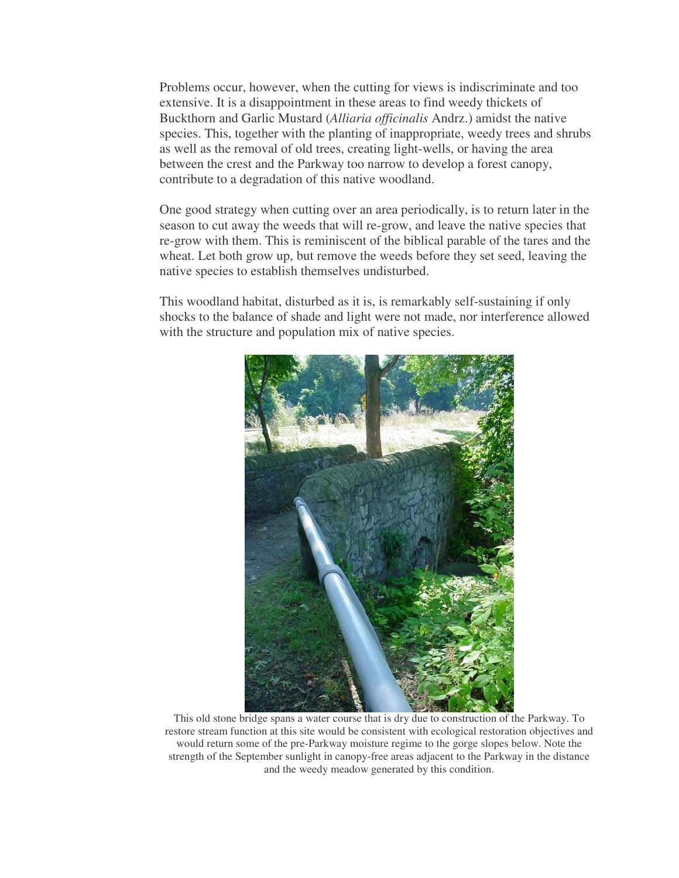Problems occur, however, when the cutting for views is indiscriminate and too extensive. It is a disappointment in these areas to find weedy thickets of Buckthorn and Garlic Mustard (*Alliaria officinalis* Andrz.) amidst the native species. This, together with the planting of inappropriate, weedy trees and shrubs as well as the removal of old trees, creating light-wells, or having the area between the crest and the Parkway too narrow to develop a forest canopy, contribute to a degradation of this native woodland.

One good strategy when cutting over an area periodically, is to return later in the season to cut away the weeds that will re-grow, and leave the native species that re-grow with them. This is reminiscent of the biblical parable of the tares and the wheat. Let both grow up, but remove the weeds before they set seed, leaving the native species to establish themselves undisturbed.

This woodland habitat, disturbed as it is, is remarkably self-sustaining if only shocks to the balance of shade and light were not made, nor interference allowed with the structure and population mix of native species.



This old stone bridge spans a water course that is dry due to construction of the Parkway. To restore stream function at this site would be consistent with ecological restoration objectives and would return some of the pre-Parkway moisture regime to the gorge slopes below. Note the strength of the September sunlight in canopy-free areas adjacent to the Parkway in the distance and the weedy meadow generated by this condition.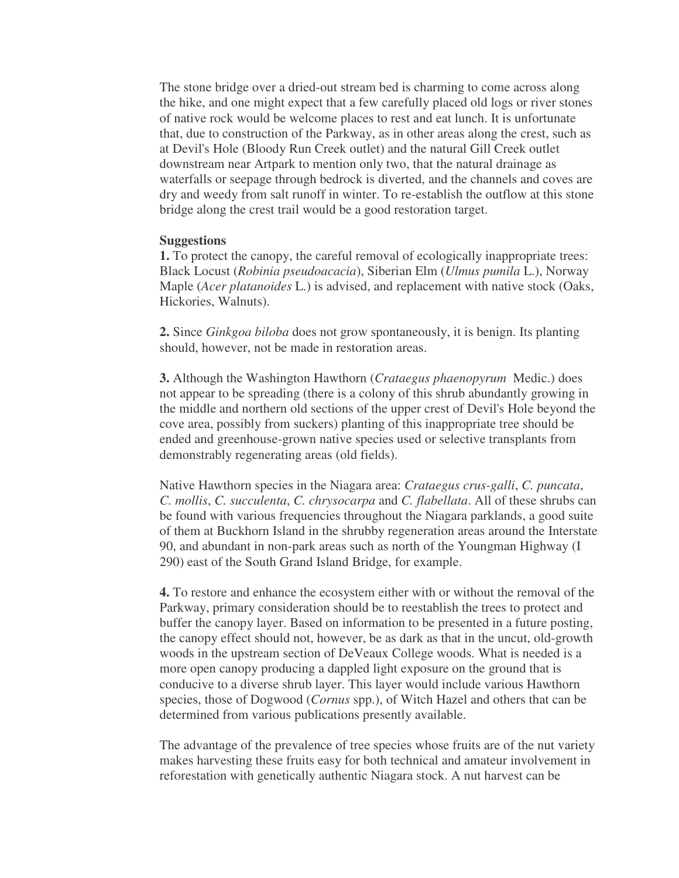The stone bridge over a dried-out stream bed is charming to come across along the hike, and one might expect that a few carefully placed old logs or river stones of native rock would be welcome places to rest and eat lunch. It is unfortunate that, due to construction of the Parkway, as in other areas along the crest, such as at Devil's Hole (Bloody Run Creek outlet) and the natural Gill Creek outlet downstream near Artpark to mention only two, that the natural drainage as waterfalls or seepage through bedrock is diverted, and the channels and coves are dry and weedy from salt runoff in winter. To re-establish the outflow at this stone bridge along the crest trail would be a good restoration target.

#### **Suggestions**

**1.** To protect the canopy, the careful removal of ecologically inappropriate trees: Black Locust (*Robinia pseudoacacia*), Siberian Elm (*Ulmus pumila* L.), Norway Maple (*Acer platanoides* L.) is advised, and replacement with native stock (Oaks, Hickories, Walnuts).

**2.** Since *Ginkgoa biloba* does not grow spontaneously, it is benign. Its planting should, however, not be made in restoration areas.

**3.** Although the Washington Hawthorn (*Crataegus phaenopyrum* Medic.) does not appear to be spreading (there is a colony of this shrub abundantly growing in the middle and northern old sections of the upper crest of Devil's Hole beyond the cove area, possibly from suckers) planting of this inappropriate tree should be ended and greenhouse-grown native species used or selective transplants from demonstrably regenerating areas (old fields).

Native Hawthorn species in the Niagara area: *Crataegus crus-galli*, *C. puncata*, *C. mollis*, *C. succulenta*, *C. chrysocarpa* and *C. flabellata*. All of these shrubs can be found with various frequencies throughout the Niagara parklands, a good suite of them at Buckhorn Island in the shrubby regeneration areas around the Interstate 90, and abundant in non-park areas such as north of the Youngman Highway (I 290) east of the South Grand Island Bridge, for example.

**4.** To restore and enhance the ecosystem either with or without the removal of the Parkway, primary consideration should be to reestablish the trees to protect and buffer the canopy layer. Based on information to be presented in a future posting, the canopy effect should not, however, be as dark as that in the uncut, old-growth woods in the upstream section of DeVeaux College woods. What is needed is a more open canopy producing a dappled light exposure on the ground that is conducive to a diverse shrub layer. This layer would include various Hawthorn species, those of Dogwood (*Cornus* spp.), of Witch Hazel and others that can be determined from various publications presently available.

The advantage of the prevalence of tree species whose fruits are of the nut variety makes harvesting these fruits easy for both technical and amateur involvement in reforestation with genetically authentic Niagara stock. A nut harvest can be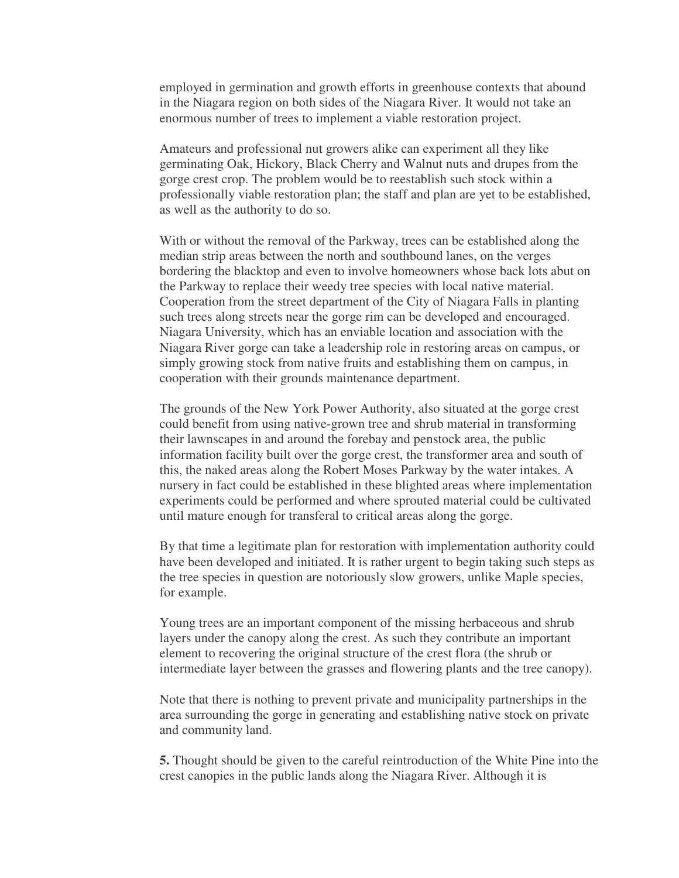employed in germination and growth efforts in greenhouse contexts that abound in the Niagara region on both sides of the Niagara River. It would not take an enormous number of trees to implement a viable restoration project.

Amateurs and professional nut growers alike can experiment all they like germinating Oak, Hickory, Black Cherry and Walnut nuts and drupes from the gorge crest crop. The problem would be to reestablish such stock within a professionally viable restoration plan; the staff and plan are yet to be established, as well as the authority to do so.

With or without the removal of the Parkway, trees can be established along the median strip areas between the north and southbound lanes, on the verges bordering the blacktop and even to involve homeowners whose back lots abut on the Parkway to replace their weedy tree species with local native material. Cooperation from the street department of the City of Niagara Falls in planting such trees along streets near the gorge rim can be developed and encouraged. Niagara University, which has an enviable location and association with the Niagara River gorge can take a leadership role in restoring areas on campus, or simply growing stock from native fruits and establishing them on campus, in cooperation with their grounds maintenance department.

The grounds of the New York Power Authority, also situated at the gorge crest could benefit from using native-grown tree and shrub material in transforming their lawnscapes in and around the forebay and penstock area, the public information facility built over the gorge crest, the transformer area and south of this, the naked areas along the Robert Moses Parkway by the water intakes. A nursery in fact could be established in these blighted areas where implementation experiments could be performed and where sprouted material could be cultivated until mature enough for transferal to critical areas along the gorge.

By that time a legitimate plan for restoration with implementation authority could have been developed and initiated. It is rather urgent to begin taking such steps as the tree species in question are notoriously slow growers, unlike Maple species, for example.

Young trees are an important component of the missing herbaceous and shrub layers under the canopy along the crest. As such they contribute an important element to recovering the original structure of the crest flora (the shrub or intermediate layer between the grasses and flowering plants and the tree canopy).

Note that there is nothing to prevent private and municipality partnerships in the area surrounding the gorge in generating and establishing native stock on private and community land.

**5.** Thought should be given to the careful reintroduction of the White Pine into the crest canopies in the public lands along the Niagara River. Although it is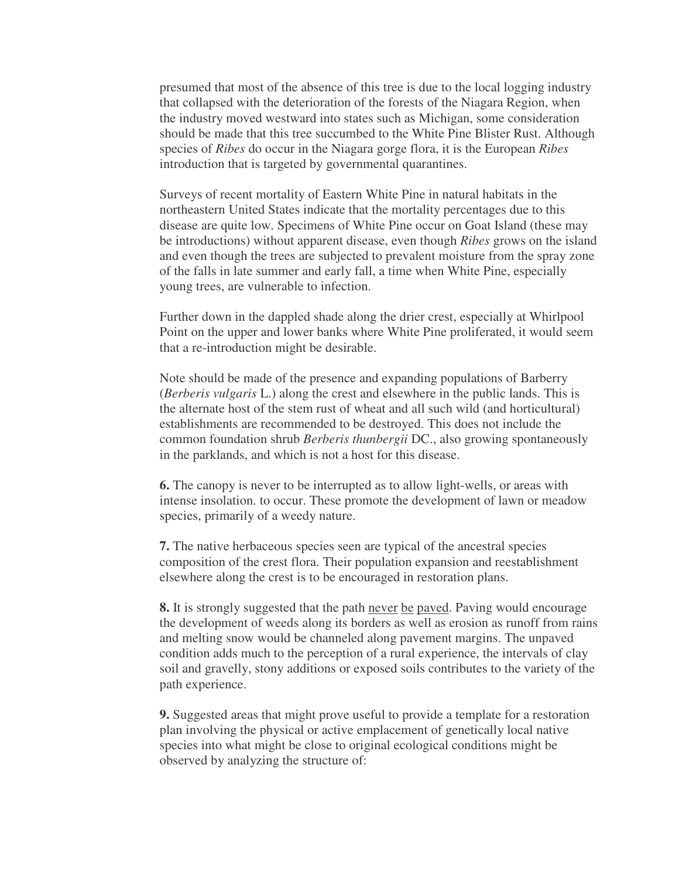presumed that most of the absence of this tree is due to the local logging industry that collapsed with the deterioration of the forests of the Niagara Region, when the industry moved westward into states such as Michigan, some consideration should be made that this tree succumbed to the White Pine Blister Rust. Although species of *Ribes* do occur in the Niagara gorge flora, it is the European *Ribes* introduction that is targeted by governmental quarantines.

Surveys of recent mortality of Eastern White Pine in natural habitats in the northeastern United States indicate that the mortality percentages due to this disease are quite low. Specimens of White Pine occur on Goat Island (these may be introductions) without apparent disease, even though *Ribes* grows on the island and even though the trees are subjected to prevalent moisture from the spray zone of the falls in late summer and early fall, a time when White Pine, especially young trees, are vulnerable to infection.

Further down in the dappled shade along the drier crest, especially at Whirlpool Point on the upper and lower banks where White Pine proliferated, it would seem that a re-introduction might be desirable.

Note should be made of the presence and expanding populations of Barberry (*Berberis vulgaris* L.) along the crest and elsewhere in the public lands. This is the alternate host of the stem rust of wheat and all such wild (and horticultural) establishments are recommended to be destroyed. This does not include the common foundation shrub *Berberis thunbergii* DC., also growing spontaneously in the parklands, and which is not a host for this disease.

**6.** The canopy is never to be interrupted as to allow light-wells, or areas with intense insolation. to occur. These promote the development of lawn or meadow species, primarily of a weedy nature.

**7.** The native herbaceous species seen are typical of the ancestral species composition of the crest flora. Their population expansion and reestablishment elsewhere along the crest is to be encouraged in restoration plans.

**8.** It is strongly suggested that the path never be paved. Paving would encourage the development of weeds along its borders as well as erosion as runoff from rains and melting snow would be channeled along pavement margins. The unpaved condition adds much to the perception of a rural experience, the intervals of clay soil and gravelly, stony additions or exposed soils contributes to the variety of the path experience.

**9.** Suggested areas that might prove useful to provide a template for a restoration plan involving the physical or active emplacement of genetically local native species into what might be close to original ecological conditions might be observed by analyzing the structure of: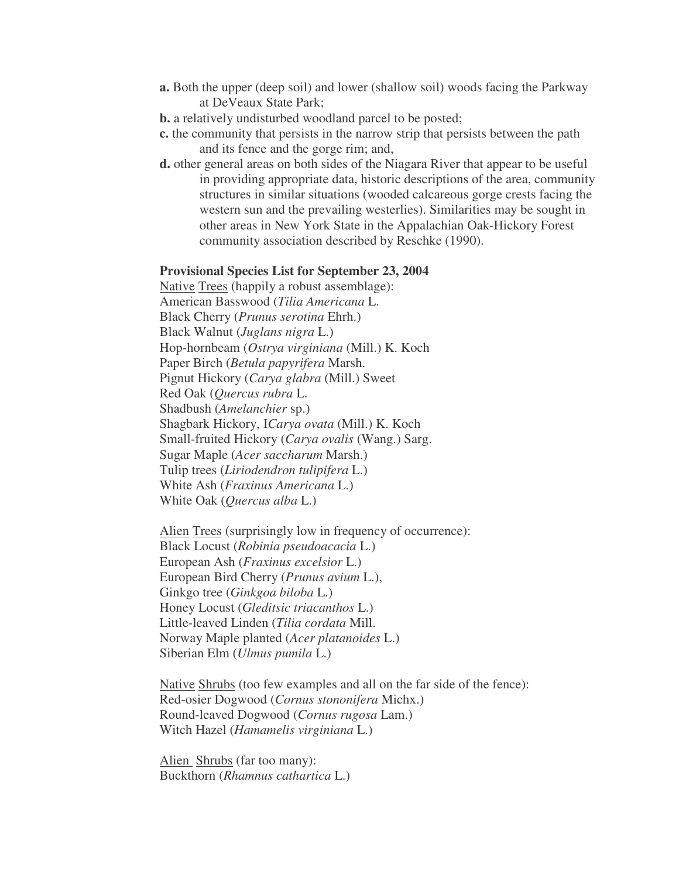- **a.** Both the upper (deep soil) and lower (shallow soil) woods facing the Parkway at DeVeaux State Park;
- **b.** a relatively undisturbed woodland parcel to be posted;
- **c.** the community that persists in the narrow strip that persists between the path and its fence and the gorge rim; and,
- **d.** other general areas on both sides of the Niagara River that appear to be useful in providing appropriate data, historic descriptions of the area, community structures in similar situations (wooded calcareous gorge crests facing the western sun and the prevailing westerlies). Similarities may be sought in other areas in New York State in the Appalachian Oak-Hickory Forest community association described by Reschke (1990).

#### **Provisional Species List for September 23, 2004**

Native Trees (happily a robust assemblage): American Basswood (*Tilia Americana* L. Black Cherry (*Prunus serotina* Ehrh.) Black Walnut (*Juglans nigra* L.) Hop-hornbeam (*Ostrya virginiana* (Mill.) K. Koch Paper Birch (*Betula papyrifera* Marsh. Pignut Hickory (*Carya glabra* (Mill.) Sweet Red Oak (*Quercus rubra* L. Shadbush (*Amelanchier* sp.) Shagbark Hickory, I*Carya ovata* (Mill.) K. Koch Small-fruited Hickory (*Carya ovalis* (Wang.) Sarg. Sugar Maple (*Acer saccharum* Marsh.) Tulip trees (*Liriodendron tulipifera* L.) White Ash (*Fraxinus Americana* L.) White Oak (*Quercus alba* L.)

Alien Trees (surprisingly low in frequency of occurrence): Black Locust (*Robinia pseudoacacia* L.) European Ash (*Fraxinus excelsior* L.) European Bird Cherry (*Prunus avium* L.), Ginkgo tree (*Ginkgoa biloba* L.) Honey Locust (*Gleditsic triacanthos* L.) Little-leaved Linden (*Tilia cordata* Mill. Norway Maple planted (*Acer platanoides* L.) Siberian Elm (*Ulmus pumila* L.)

Native Shrubs (too few examples and all on the far side of the fence): Red-osier Dogwood (*Cornus stononifera* Michx.) Round-leaved Dogwood (*Cornus rugosa* Lam.) Witch Hazel (*Hamamelis virginiana* L.)

Alien Shrubs (far too many): Buckthorn (*Rhamnus cathartica* L.)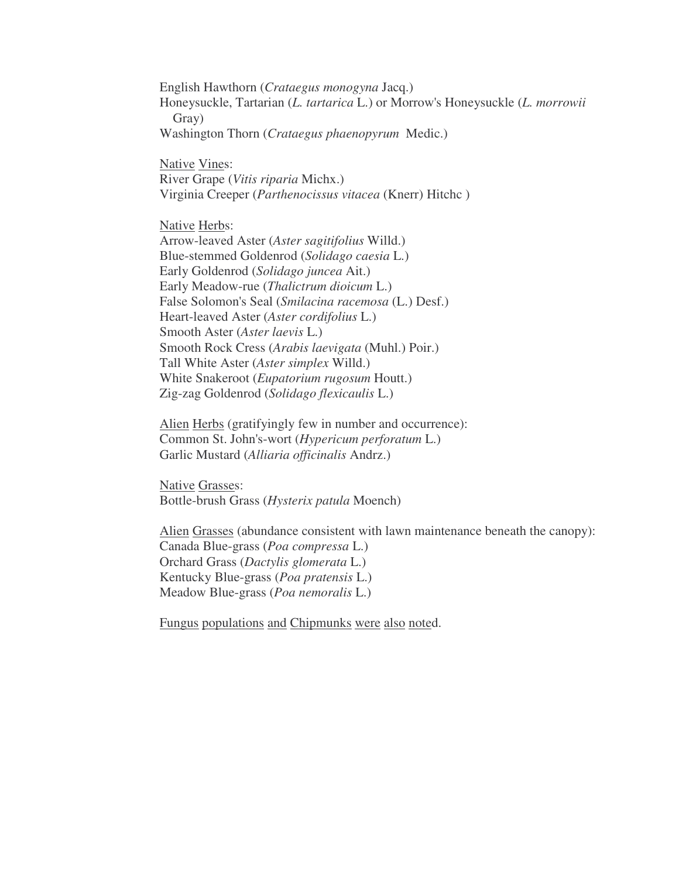English Hawthorn (*Crataegus monogyna* Jacq.) Honeysuckle, Tartarian (*L. tartarica* L.) or Morrow's Honeysuckle (*L. morrowii* Gray) Washington Thorn (*Crataegus phaenopyrum* Medic.)

Native Vines: River Grape (*Vitis riparia* Michx.) Virginia Creeper (*Parthenocissus vitacea* (Knerr) Hitchc )

Native Herbs:

Arrow-leaved Aster (*Aster sagitifolius* Willd.) Blue-stemmed Goldenrod (*Solidago caesia* L.) Early Goldenrod (*Solidago juncea* Ait.) Early Meadow-rue (*Thalictrum dioicum* L.) False Solomon's Seal (*Smilacina racemosa* (L.) Desf.) Heart-leaved Aster (*Aster cordifolius* L.) Smooth Aster (*Aster laevis* L.) Smooth Rock Cress (*Arabis laevigata* (Muhl.) Poir.) Tall White Aster (*Aster simplex* Willd.) White Snakeroot (*Eupatorium rugosum* Houtt.) Zig-zag Goldenrod (*Solidago flexicaulis* L.)

Alien Herbs (gratifyingly few in number and occurrence): Common St. John's-wort (*Hypericum perforatum* L.) Garlic Mustard (*Alliaria officinalis* Andrz.)

Native Grasses: Bottle-brush Grass (*Hysterix patula* Moench)

Alien Grasses (abundance consistent with lawn maintenance beneath the canopy): Canada Blue-grass (*Poa compressa* L.) Orchard Grass (*Dactylis glomerata* L.) Kentucky Blue-grass (*Poa pratensis* L.) Meadow Blue-grass (*Poa nemoralis* L.)

Fungus populations and Chipmunks were also noted.